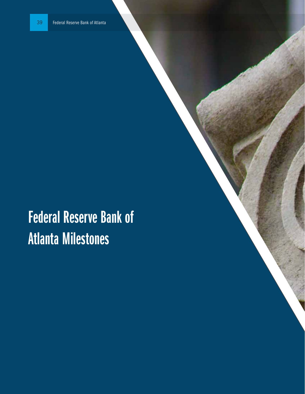# Federal Reserve Bank of Atlanta Milestones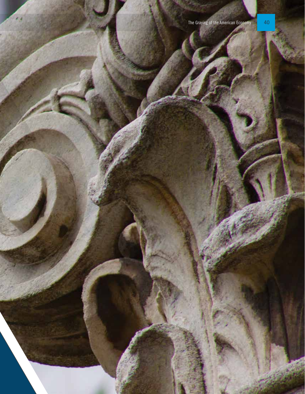13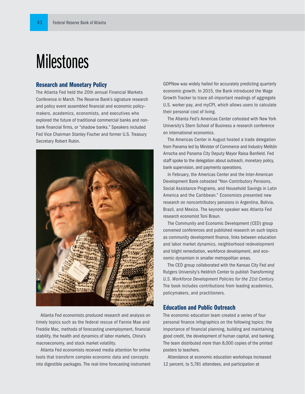# **Milestones**

# Research and Monetary Policy

The Atlanta Fed held the 20th annual Financial Markets Conference in March. The Reserve Bank's signature research and policy event assembled financial and economic policy– makers, academics, economists, and executives who explored the future of traditional commercial banks and nonbank financial firms, or "shadow banks." Speakers included Fed Vice Chairman Stanley Fischer and former U.S. Treasury Secretary Robert Rubin.



Atlanta Fed economists produced research and analysis on timely topics such as the federal rescue of Fannie Mae and Freddie Mac, methods of forecasting unemployment, financial stability, the health and dynamics of labor markets, China's macroeconomy, and stock market volatility.

Atlanta Fed economists received media attention for online tools that transform complex economic data and concepts into digestible packages. The real-time forecasting instrument GDPNow was widely hailed for accurately predicting quarterly economic growth. In 2015, the Bank introduced the Wage Growth Tracker to trace all-important readings of aggregate U.S. worker pay, and myCPI, which allows users to calculate their personal cost of living.

The Atlanta Fed's Americas Center cohosted with New York University's Stern School of Business a research conference on international economics.

The Americas Center in August hosted a trade delegation from Panama led by Minister of Commerce and Industry Melitón Arrocha and Panama City Deputy Mayor Raisa Banfield. Fed staff spoke to the delegation about outreach, monetary policy, bank supervision, and payments operations.

In February, the Americas Center and the Inter-American Development Bank cohosted "Non-Contributory Pensions, Social Assistance Programs, and Household Savings in Latin America and the Caribbean." Economists presented new research on noncontributory pensions in Argentina, Bolivia, Brazil, and Mexico. The keynote speaker was Atlanta Fed research economist Toni Braun.

The Community and Economic Development (CED) group convened conferences and published research on such topics as community development finance, links between education and labor market dynamics, neighborhood redevelopment and blight remediation, workforce development, and eco– nomic dynamism in smaller metropolitan areas.

The CED group collaborated with the Kansas City Fed and Rutgers University's Heldrich Center to publish *Transforming U.S. Workforce Development Policies for the 21st Century*. The book includes contributions from leading academics, policymakers, and practitioners.

# Education and Public Outreach

The economic education team created a series of four personal finance infographics on the following topics: the importance of financial planning, building and maintaining good credit, the development of human capital, and banking. The team distributed more than 8,000 copies of the printed posters to teachers.

Attendance at economic education workshops increased 12 percent, to 5,781 attendees, and participation at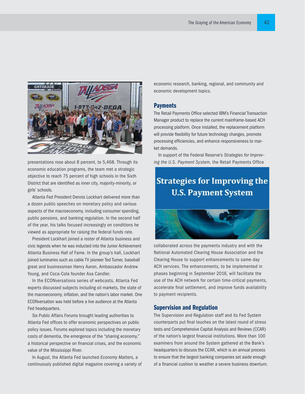

presentations rose about 8 percent, to 5,468. Through its economic education programs, the team met a strategic objective to reach 75 percent of high schools in the Sixth District that are identified as inner city, majority-minority, or girls' schools.

Atlanta Fed President Dennis Lockhart delivered more than a dozen public speeches on monetary policy and various aspects of the macroeconomy, including consumer spending, public pensions, and banking regulation. In the second half of the year, his talks focused increasingly on conditions he viewed as appropriate for raising the federal funds rate.

President Lockhart joined a roster of Atlanta business and civic legends when he was inducted into the Junior Achievement Atlanta Business Hall of Fame. In the group's hall, Lockhart joined luminaries such as cable TV pioneer Ted Turner, baseball great and businessman Henry Aaron, Ambassador Andrew Young, and Coca-Cola founder Asa Candler.

In the ECONversations series of webcasts, Atlanta Fed experts discussed subjects including oil markets, the state of the macroeconomy, inflation, and the nation's labor market. One ECONversation was held before a live audience at the Atlanta Fed headquarters.

Six Public Affairs Forums brought leading authorities to Atlanta Fed offices to offer economic perspectives on public policy issues. Forums explored topics including the monetary costs of dementia, the emergence of the "sharing economy," a historical perspective on financial crises, and the economic value of the Mississippi River.

In August, the Atlanta Fed launched *Economy Matters*, a continuously published digital magazine covering a variety of economic research, banking, regional, and community and economic development topics.

#### Payments

The Retail Payments Office selected IBM's Financial Transaction Manager product to replace the current mainframe-based ACH processing platform. Once installed, the replacement platform will provide flexibility for future technology changes, promote processing efficiencies, and enhance responsiveness to mar– ket demands.

In support of the Federal Reserve's *Strategies for Improv– ing the U.S. Payment System*, the Retail Payments Office

# **Strategies for Improving the U.S. Payment System**



collaborated across the payments industry and with the National Automated Clearing House Association and the Clearing House to support enhancements to same-day ACH services. The enhancements, to be implemented in phases beginning in September 2016, will facilitate the use of the ACH network for certain time-critical payments, accelerate final settlement, and improve funds availability to payment recipients.

### Supervision and Regulation

The Supervision and Regulation staff and its Fed System counterparts put final touches on the latest round of stress tests and Comprehensive Capital Analysis and Reviews (CCAR) of the nation's largest financial institutions. More than 100 examiners from around the System gathered at the Bank's headquarters to discuss the CCAR, which is an annual process to ensure that the largest banking companies set aside enough of a financial cushion to weather a severe business downturn.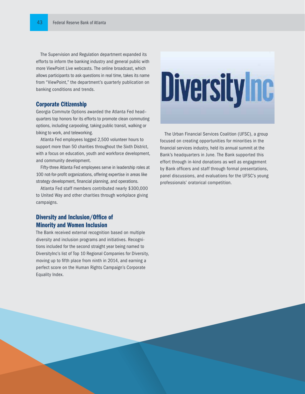The Supervision and Regulation department expanded its efforts to inform the banking industry and general public with more ViewPoint Live webcasts. The online broadcast, which allows participants to ask questions in real time, takes its name from "ViewPoint," the department's quarterly publication on banking conditions and trends.

## Corporate Citizenship

Georgia Commute Options awarded the Atlanta Fed head– quarters top honors for its efforts to promote clean commuting options, including carpooling, taking public transit, walking or biking to work, and teleworking.

Atlanta Fed employees logged 2,500 volunteer hours to support more than 50 charities throughout the Sixth District, with a focus on education, youth and workforce development, and community development.

Fifty-three Atlanta Fed employees serve in leadership roles at 100 not-for-profit organizations, offering expertise in areas like strategy development, financial planning, and operations.

Atlanta Fed staff members contributed nearly \$300,000 to United Way and other charities through workplace giving campaigns.

# Diversity and Inclusion/Office of Minority and Women Inclusion

The Bank received external recognition based on multiple diversity and inclusion programs and initiatives. Recognitions included for the second straight year being named to DiversityInc's list of Top 10 Regional Companies for Diversity, moving up to fifth place from ninth in 2014, and earning a perfect score on the Human Rights Campaign's Corporate Equality Index.

# **DiversityInc**

The Urban Financial Services Coalition (UFSC), a group focused on creating opportunities for minorities in the financial services industry, held its annual summit at the Bank's headquarters in June. The Bank supported this effort through in-kind donations as well as engagement by Bank officers and staff through formal presentations, panel discussions, and evaluations for the UFSC's young professionals' oratorical competition.